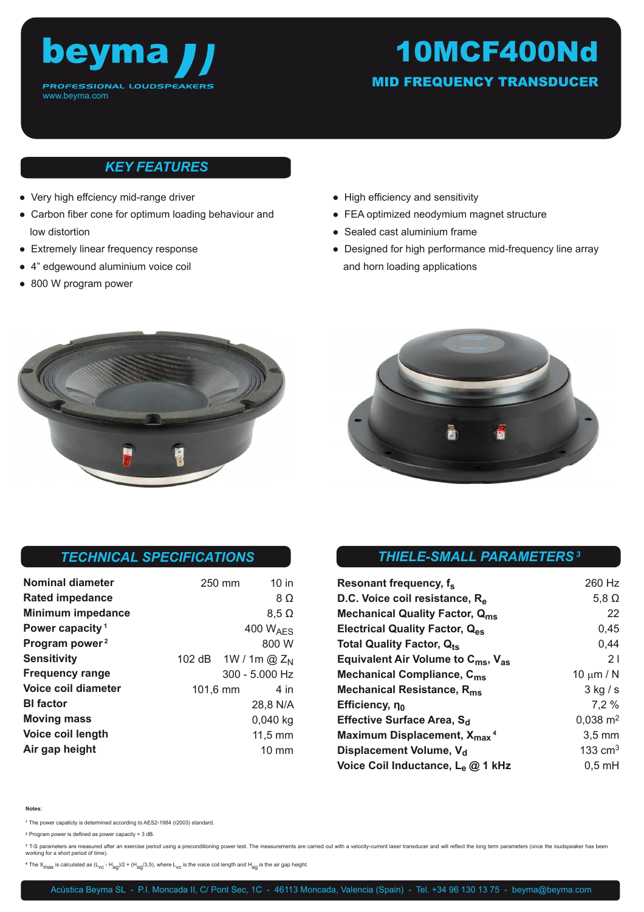

# 10MCF400Nd

MID FREQUENCY TRANSDUCER

# *KEY FEATURES*

- Very high effciency mid-range driver
- Carbon fiber cone for optimum loading behaviour and low distortion
- Extremely linear frequency response
- 4" edgewound aluminium voice coil
- 800 W program power
- High efficiency and sensitivity
- FEA optimized neodymium magnet structure
- Sealed cast aluminium frame
- Designed for high performance mid-frequency line array and horn loading applications





## *TECHNICAL SPECIFICATIONS*

| <b>Nominal diameter</b>     | 250 mm                          |                      | $10$ in         |
|-----------------------------|---------------------------------|----------------------|-----------------|
| <b>Rated impedance</b>      |                                 |                      | $8\Omega$       |
| <b>Minimum impedance</b>    |                                 |                      | $8,5 \Omega$    |
| Power capacity <sup>1</sup> |                                 | 400 $W_{\text{AFS}}$ |                 |
| Program power <sup>2</sup>  |                                 |                      | 800 W           |
| <b>Sensitivity</b>          | 102 dB 1W / 1m @ Z <sub>N</sub> |                      |                 |
| <b>Frequency range</b>      |                                 | $300 - 5.000$ Hz     |                 |
| Voice coil diameter         | 101,6 mm                        |                      | 4 in            |
| <b>BI</b> factor            |                                 |                      | 28,8 N/A        |
| <b>Moving mass</b>          |                                 |                      | $0,040$ kg      |
| Voice coil length           |                                 |                      | $11,5$ mm       |
| Air gap height              |                                 |                      | $10 \text{ mm}$ |

# *THIELE-SMALL PARAMETERS<sup>3</sup>*

| Resonant frequency, f <sub>s</sub>                         | 260 Hz              |
|------------------------------------------------------------|---------------------|
| D.C. Voice coil resistance, R <sub>e</sub>                 | 5,8 $\Omega$        |
| <b>Mechanical Quality Factor, Qms</b>                      | 22                  |
| Electrical Quality Factor, Q <sub>es</sub>                 | 0,45                |
| Total Quality Factor, Q <sub>ts</sub>                      | 0,44                |
| Equivalent Air Volume to C <sub>ms</sub> , V <sub>as</sub> | 21                  |
| Mechanical Compliance, C <sub>ms</sub>                     | 10 $\mu$ m / N      |
| Mechanical Resistance, R <sub>ms</sub>                     | $3$ kg $/s$         |
| Efficiency, no                                             | 7.2%                |
| Effective Surface Area, S <sub>d</sub>                     | $0,038 \text{ m}^2$ |
| Maximum Displacement, X <sub>max</sub> <sup>4</sup>        | $3,5 \text{ mm}$    |
| Displacement Volume, V <sub>d</sub>                        | 133 $cm3$           |
| Voice Coil Inductance, L <sub>e</sub> @ 1 kHz              | $0,5$ mH            |

#### **Notes**:

**<sup>1</sup>**The power capaticty is determined according to AES2-1984 (r2003) standard.

**<sup>2</sup>**Program power is defined as power capacity + 3 dB.

<sup>3</sup> T-S parameters are measured after an exercise period using a preconditioning power test. The measurements are carried out with a velocity-current laser transducer and will reflect the long term parameters (once the lou working for a short period of time).

 $4$  The X<sub>max</sub> is calculated as  $(L_{VC} - H_{aq}/2 + (H_{aq}/3,5)$ , where  $L_{VC}$  is the voice coil length and  $H_{aq}$  is the air gap height.